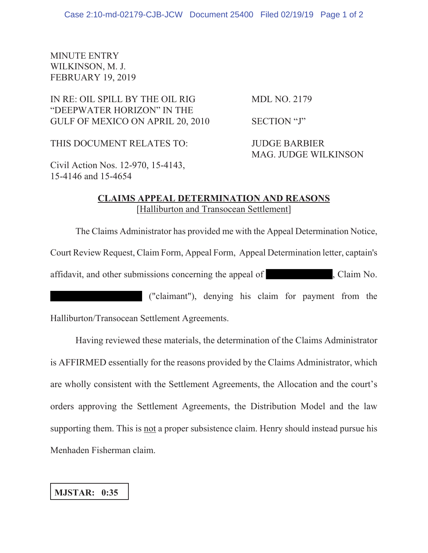## MINUTE ENTRY WILKINSON, M. J. FEBRUARY 19, 2019

IN RE: OIL SPILL BY THE OIL RIG MDL NO. 2179 "DEEPWATER HORIZON" IN THE GULF OF MEXICO ON APRIL 20, 2010 SECTION "J"

THIS DOCUMENT RELATES TO: JUDGE BARBIER

MAG. JUDGE WILKINSON

Civil Action Nos. 12-970, 15-4143, 15-4146 and 15-4654

## **CLAIMS APPEAL DETERMINATION AND REASONS** [Halliburton and Transocean Settlement]

The Claims Administrator has provided me with the Appeal Determination Notice, Court Review Request, Claim Form, Appeal Form, Appeal Determination letter, captain's affidavit, and other submissions concerning the appeal of , Claim No.

("claimant"), denying his claim for payment from the Halliburton/Transocean Settlement Agreements.

Having reviewed these materials, the determination of the Claims Administrator is AFFIRMED essentially for the reasons provided by the Claims Administrator, which are wholly consistent with the Settlement Agreements, the Allocation and the court's orders approving the Settlement Agreements, the Distribution Model and the law supporting them. This is not a proper subsistence claim. Henry should instead pursue his Menhaden Fisherman claim.

## **MJSTAR: 0:35**